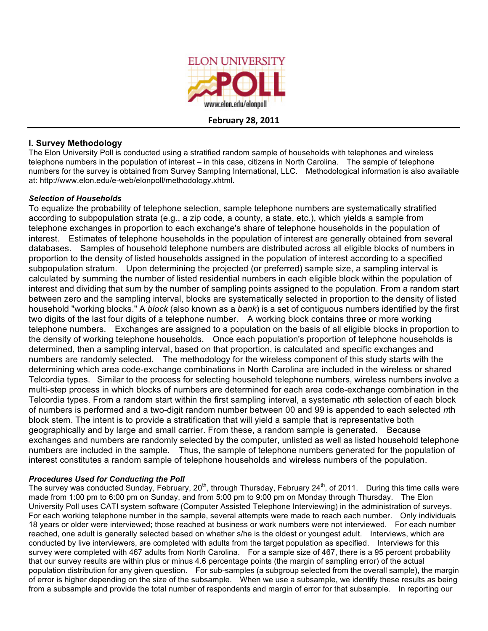

**February
28,
2011**

## **I. Survey Methodology**

The Elon University Poll is conducted using a stratified random sample of households with telephones and wireless telephone numbers in the population of interest – in this case, citizens in North Carolina. The sample of telephone numbers for the survey is obtained from Survey Sampling International, LLC. Methodological information is also available at: http://www.elon.edu/e-web/elonpoll/methodology.xhtml.

#### *Selection of Households*

To equalize the probability of telephone selection, sample telephone numbers are systematically stratified according to subpopulation strata (e.g., a zip code, a county, a state, etc.), which yields a sample from telephone exchanges in proportion to each exchange's share of telephone households in the population of interest. Estimates of telephone households in the population of interest are generally obtained from several databases. Samples of household telephone numbers are distributed across all eligible blocks of numbers in proportion to the density of listed households assigned in the population of interest according to a specified subpopulation stratum. Upon determining the projected (or preferred) sample size, a sampling interval is calculated by summing the number of listed residential numbers in each eligible block within the population of interest and dividing that sum by the number of sampling points assigned to the population. From a random start between zero and the sampling interval, blocks are systematically selected in proportion to the density of listed household "working blocks." A *block* (also known as a *bank*) is a set of contiguous numbers identified by the first two digits of the last four digits of a telephone number. A working block contains three or more working telephone numbers. Exchanges are assigned to a population on the basis of all eligible blocks in proportion to the density of working telephone households. Once each population's proportion of telephone households is determined, then a sampling interval, based on that proportion, is calculated and specific exchanges and numbers are randomly selected. The methodology for the wireless component of this study starts with the determining which area code-exchange combinations in North Carolina are included in the wireless or shared Telcordia types. Similar to the process for selecting household telephone numbers, wireless numbers involve a multi-step process in which blocks of numbers are determined for each area code-exchange combination in the Telcordia types. From a random start within the first sampling interval, a systematic *n*th selection of each block of numbers is performed and a two-digit random number between 00 and 99 is appended to each selected *n*th block stem. The intent is to provide a stratification that will yield a sample that is representative both geographically and by large and small carrier. From these, a random sample is generated. Because exchanges and numbers are randomly selected by the computer, unlisted as well as listed household telephone numbers are included in the sample. Thus, the sample of telephone numbers generated for the population of interest constitutes a random sample of telephone households and wireless numbers of the population.

#### *Procedures Used for Conducting the Poll*

The survey was conducted Sunday, February, 20<sup>th</sup>, through Thursday, February 24<sup>th</sup>, of 2011. During this time calls were made from 1:00 pm to 6:00 pm on Sunday, and from 5:00 pm to 9:00 pm on Monday through Thursday. The Elon University Poll uses CATI system software (Computer Assisted Telephone Interviewing) in the administration of surveys. For each working telephone number in the sample, several attempts were made to reach each number. Only individuals 18 years or older were interviewed; those reached at business or work numbers were not interviewed. For each number reached, one adult is generally selected based on whether s/he is the oldest or youngest adult. Interviews, which are conducted by live interviewers, are completed with adults from the target population as specified. Interviews for this survey were completed with 467 adults from North Carolina. For a sample size of 467, there is a 95 percent probability that our survey results are within plus or minus 4.6 percentage points (the margin of sampling error) of the actual population distribution for any given question. For sub-samples (a subgroup selected from the overall sample), the margin of error is higher depending on the size of the subsample. When we use a subsample, we identify these results as being from a subsample and provide the total number of respondents and margin of error for that subsample. In reporting our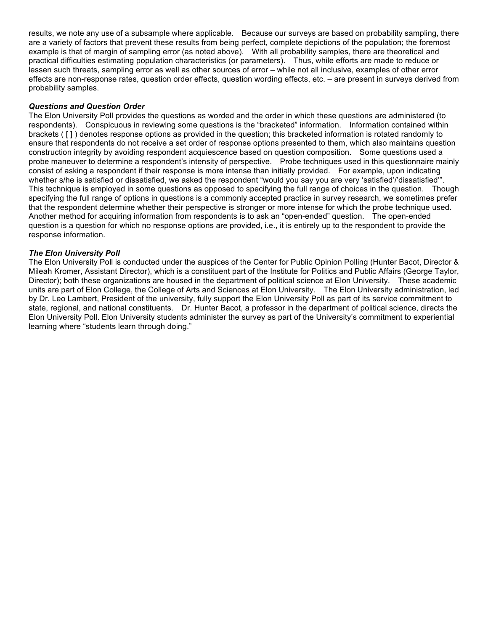results, we note any use of a subsample where applicable. Because our surveys are based on probability sampling, there are a variety of factors that prevent these results from being perfect, complete depictions of the population; the foremost example is that of margin of sampling error (as noted above). With all probability samples, there are theoretical and practical difficulties estimating population characteristics (or parameters). Thus, while efforts are made to reduce or lessen such threats, sampling error as well as other sources of error – while not all inclusive, examples of other error effects are non-response rates, question order effects, question wording effects, etc. – are present in surveys derived from probability samples.

#### *Questions and Question Order*

The Elon University Poll provides the questions as worded and the order in which these questions are administered (to respondents). Conspicuous in reviewing some questions is the "bracketed" information. Information contained within brackets ( [ ] ) denotes response options as provided in the question; this bracketed information is rotated randomly to ensure that respondents do not receive a set order of response options presented to them, which also maintains question construction integrity by avoiding respondent acquiescence based on question composition. Some questions used a probe maneuver to determine a respondent's intensity of perspective. Probe techniques used in this questionnaire mainly consist of asking a respondent if their response is more intense than initially provided. For example, upon indicating whether s/he is satisfied or dissatisfied, we asked the respondent "would you say you are very 'satisfied'/'dissatisfied'". This technique is employed in some questions as opposed to specifying the full range of choices in the question. Though specifying the full range of options in questions is a commonly accepted practice in survey research, we sometimes prefer that the respondent determine whether their perspective is stronger or more intense for which the probe technique used. Another method for acquiring information from respondents is to ask an "open-ended" question. The open-ended question is a question for which no response options are provided, i.e., it is entirely up to the respondent to provide the response information.

#### *The Elon University Poll*

The Elon University Poll is conducted under the auspices of the Center for Public Opinion Polling (Hunter Bacot, Director & Mileah Kromer, Assistant Director), which is a constituent part of the Institute for Politics and Public Affairs (George Taylor, Director); both these organizations are housed in the department of political science at Elon University. These academic units are part of Elon College, the College of Arts and Sciences at Elon University. The Elon University administration, led by Dr. Leo Lambert, President of the university, fully support the Elon University Poll as part of its service commitment to state, regional, and national constituents. Dr. Hunter Bacot, a professor in the department of political science, directs the Elon University Poll. Elon University students administer the survey as part of the University's commitment to experiential learning where "students learn through doing."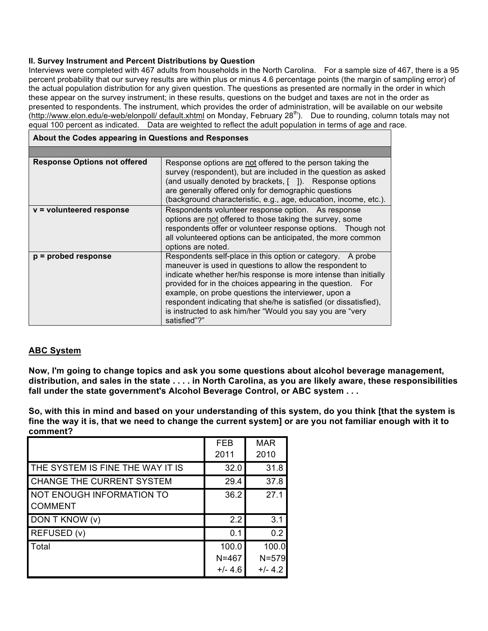#### **II. Survey Instrument and Percent Distributions by Question**

Interviews were completed with 467 adults from households in the North Carolina. For a sample size of 467, there is a 95 percent probability that our survey results are within plus or minus 4.6 percentage points (the margin of sampling error) of the actual population distribution for any given question. The questions as presented are normally in the order in which these appear on the survey instrument; in these results, questions on the budget and taxes are not in the order as presented to respondents. The instrument, which provides the order of administration, will be available on our website .<br>(<u>http://www.elon.edu/e-web/elonpoll/ default.xhtml</u> on Monday, February 28<sup>th</sup>). Due to rounding, column totals may not equal 100 percent as indicated. Data are weighted to reflect the adult population in terms of age and race.

| About the Codes appearing in Questions and Responses |                                                                                                                                                                                                                                                                                                                                                                                                                                                                   |  |
|------------------------------------------------------|-------------------------------------------------------------------------------------------------------------------------------------------------------------------------------------------------------------------------------------------------------------------------------------------------------------------------------------------------------------------------------------------------------------------------------------------------------------------|--|
|                                                      |                                                                                                                                                                                                                                                                                                                                                                                                                                                                   |  |
| <b>Response Options not offered</b>                  | Response options are not offered to the person taking the<br>survey (respondent), but are included in the question as asked<br>(and usually denoted by brackets, [ ]). Response options<br>are generally offered only for demographic questions<br>(background characteristic, e.g., age, education, income, etc.).                                                                                                                                               |  |
| v = volunteered response                             | Respondents volunteer response option. As response<br>options are not offered to those taking the survey, some<br>respondents offer or volunteer response options. Though not<br>all volunteered options can be anticipated, the more common<br>options are noted.                                                                                                                                                                                                |  |
| $p =$ probed response                                | Respondents self-place in this option or category. A probe<br>maneuver is used in questions to allow the respondent to<br>indicate whether her/his response is more intense than initially<br>provided for in the choices appearing in the question. For<br>example, on probe questions the interviewer, upon a<br>respondent indicating that she/he is satisfied (or dissatisfied),<br>is instructed to ask him/her "Would you say you are "very<br>satisfied"?" |  |

## **ABC System**

**Now, I'm going to change topics and ask you some questions about alcohol beverage management,** distribution, and sales in the state . . . . in North Carolina, as you are likely aware, these responsibilities **fall under the state government's Alcohol Beverage Control, or ABC system . . .**

So, with this in mind and based on your understanding of this system, do you think [that the system is fine the way it is, that we need to change the current system] or are you not familiar enough with it to **comment?**

|                                  | <b>FEB</b> | <b>MAR</b> |
|----------------------------------|------------|------------|
|                                  | 2011       | 2010       |
| THE SYSTEM IS FINE THE WAY IT IS | 32.0       | 31.8       |
| <b>CHANGE THE CURRENT SYSTEM</b> | 29.4       | 37.8       |
| <b>NOT ENOUGH INFORMATION TO</b> | 36.2       | 27.1       |
| <b>COMMENT</b>                   |            |            |
| DON T KNOW (v)                   | 2.2        | 3.1        |
| REFUSED (v)                      | 0.1        | 0.2        |
| Total                            | 100.0      | 100.0      |
|                                  | $N = 467$  | $N = 579$  |
|                                  | $+/- 4.6$  | $+/- 4.2$  |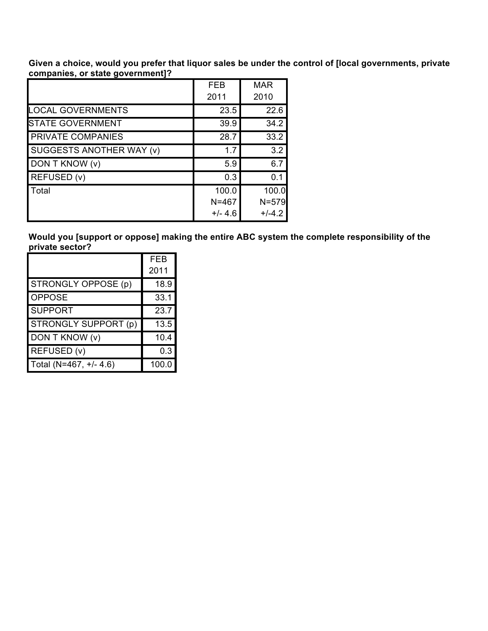**Given a choice, would you prefer that liquor sales be under the control of [local governments, private companies, or state government]?**

|                                 | <b>FEB</b><br>2011 | <b>MAR</b><br>2010 |
|---------------------------------|--------------------|--------------------|
| <b>LOCAL GOVERNMENTS</b>        | 23.5               | 22.6               |
| <b>STATE GOVERNMENT</b>         | 39.9               | 34.2               |
| <b>PRIVATE COMPANIES</b>        | 28.7               | 33.2               |
| <b>SUGGESTS ANOTHER WAY (v)</b> | 1.7                | 3.2                |
| DON T KNOW (v)                  | 5.9                | 6.7                |
| <b>REFUSED (v)</b>              | 0.3                | 0.1                |
| Total                           | 100.0              | 100.0              |
|                                 | $N = 467$          | $N = 579$          |
|                                 | $+/- 4.6$          | $+/-4.2$           |

**Would you [support or oppose] making the entire ABC system the complete responsibility of the private sector?**

|                        | FEB   |
|------------------------|-------|
|                        | 2011  |
| STRONGLY OPPOSE (p)    | 18.9  |
| <b>OPPOSE</b>          | 33.1  |
| <b>SUPPORT</b>         | 23.7  |
| STRONGLY SUPPORT (p)   | 13.5  |
| DON T KNOW (v)         | 10.4  |
| REFUSED (v)            | 0.3   |
| Total (N=467, +/- 4.6) | 100.0 |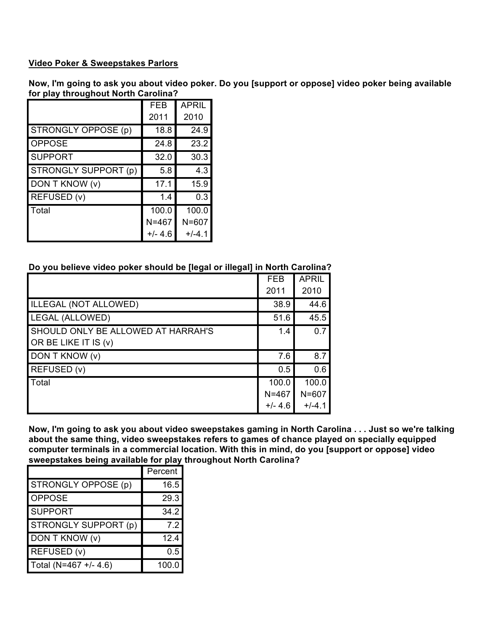## **Video Poker & Sweepstakes Parlors**

Now, I'm going to ask you about video poker. Do you [support or oppose] video poker being available **for play throughout North Carolina?**

|                      | <b>FEB</b> | <b>APRIL</b> |
|----------------------|------------|--------------|
|                      | 2011       | 2010         |
| STRONGLY OPPOSE (p)  | 18.8       | 24.9         |
| <b>OPPOSE</b>        | 24.8       | 23.2         |
| <b>SUPPORT</b>       | 32.0       | 30.3         |
| STRONGLY SUPPORT (p) | 5.8        | 4.3          |
| DON T KNOW (v)       | 17.1       | 15.9         |
| REFUSED (v)          | 1.4        | 0.3          |
| Total                | 100.0      | 100.0        |
|                      | $N = 467$  | $N = 607$    |
|                      | $+/- 4.6$  | $+/-4.1$     |

## **Do you believe video poker should be [legal or illegal] in North Carolina?**

|                                                                   | <b>FEB</b> | <b>APRIL</b> |
|-------------------------------------------------------------------|------------|--------------|
|                                                                   | 2011       | 2010         |
| <b>ILLEGAL (NOT ALLOWED)</b>                                      | 38.9       | 44.6         |
| <b>LEGAL (ALLOWED)</b>                                            | 51.6       | 45.5         |
| <b>SHOULD ONLY BE ALLOWED AT HARRAH'S</b><br>OR BE LIKE IT IS (v) | 1.4        | 0.7          |
| DON T KNOW (v)                                                    | 7.6        | 8.7          |
| REFUSED (v)                                                       | 0.5        | 0.6          |
| Total                                                             | 100.0      | 100.0        |
|                                                                   | $N = 467$  | $N = 607$    |
|                                                                   | $+/- 4.6$  | $+/-4.1$     |

Now, I'm going to ask you about video sweepstakes gaming in North Carolina . . . Just so we're talking **about the same thing, video sweepstakes refers to games of chance played on specially equipped computer terminals in a commercial location. With this in mind, do you [support or oppose] video sweepstakes being available for play throughout North Carolina?**

|                       | Percent |
|-----------------------|---------|
| STRONGLY OPPOSE (p)   | 16.5    |
| <b>OPPOSE</b>         | 29.3    |
| <b>SUPPORT</b>        | 34.2    |
| STRONGLY SUPPORT (p)  | 7.2     |
| DON T KNOW (v)        | 12.4    |
| REFUSED (v)           | 0.5     |
| Total (N=467 +/- 4.6) | 100.C   |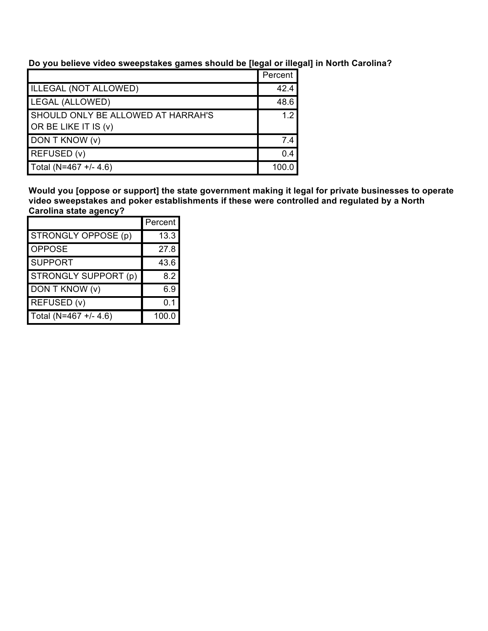**Do you believe video sweepstakes games should be [legal or illegal] in North Carolina?**

|                                    | Percent          |
|------------------------------------|------------------|
| ILLEGAL (NOT ALLOWED)              | 42.4             |
| LEGAL (ALLOWED)                    | 48.6             |
| SHOULD ONLY BE ALLOWED AT HARRAH'S | 1.2 <sub>1</sub> |
| OR BE LIKE IT IS (v)               |                  |
| DON T KNOW (v)                     | 7.4              |
| REFUSED (v)                        | 0.4              |
| Total (N=467 +/- 4.6)              | 100              |

**Would you [oppose or support] the state government making it legal for private businesses to operate video sweepstakes and poker establishments if these were controlled and regulated by a North Carolina state agency?**

|                       | Percent |
|-----------------------|---------|
| STRONGLY OPPOSE (p)   | 13.3    |
| <b>OPPOSE</b>         | 27.8    |
| <b>SUPPORT</b>        | 43.6    |
| STRONGLY SUPPORT (p)  | 8.2     |
| DON T KNOW (v)        | 6.9     |
| REFUSED (v)           | 0.1     |
| Total (N=467 +/- 4.6) | 100.0   |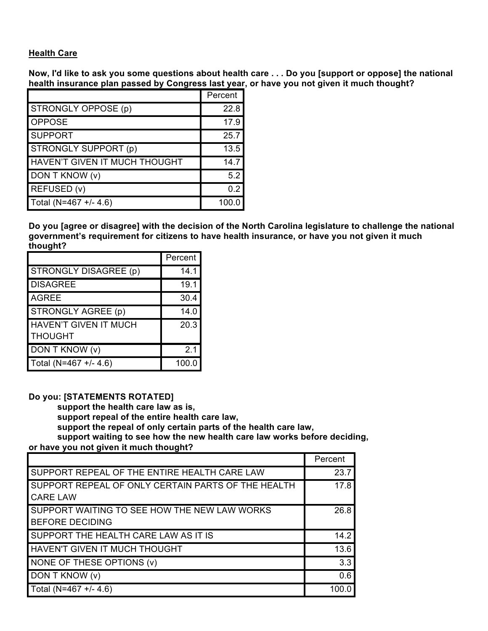## **Health Care**

Now, I'd like to ask you some questions about health care . . . Do you [support or oppose] the national **health insurance plan passed by Congress last year, or have you not given it much thought?**

|                                      | Percent |
|--------------------------------------|---------|
| STRONGLY OPPOSE (p)                  | 22.8    |
| <b>OPPOSE</b>                        | 17.9    |
| <b>SUPPORT</b>                       | 25.7    |
| <b>STRONGLY SUPPORT (p)</b>          | 13.5    |
| <b>HAVEN'T GIVEN IT MUCH THOUGHT</b> | 14.7    |
| DON T KNOW (v)                       | 5.2     |
| REFUSED (v)                          | 02      |
| Total (N=467 +/- 4.6)                | 100.0   |

**Do you [agree or disagree] with the decision of the North Carolina legislature to challenge the national government's requirement for citizens to have health insurance, or have you not given it much thought?**

|                              | Percent |
|------------------------------|---------|
| STRONGLY DISAGREE (p)        | 14.1    |
| <b>DISAGREE</b>              | 19.1    |
| <b>AGREE</b>                 | 30.4    |
| STRONGLY AGREE (p)           | 14.0    |
| <b>HAVEN'T GIVEN IT MUCH</b> | 20.3    |
| <b>THOUGHT</b>               |         |
| DON T KNOW (v)               | 2.1     |
| Total (N=467 +/- 4.6)        | 100.0   |

#### **Do you: [STATEMENTS ROTATED]**

**support the health care law as is, support repeal of the entire health care law, support the repeal of only certain parts of the health care law, support waiting to see how the new health care law works before deciding, or have you not given it much thought?**

|                                                                        | Percent |
|------------------------------------------------------------------------|---------|
| SUPPORT REPEAL OF THE ENTIRE HEALTH CARE LAW                           | 23.7    |
| SUPPORT REPEAL OF ONLY CERTAIN PARTS OF THE HEALTH<br><b>CARE LAW</b>  | 17.8    |
| SUPPORT WAITING TO SEE HOW THE NEW LAW WORKS<br><b>BEFORE DECIDING</b> | 26.8    |
| SUPPORT THE HEALTH CARE LAW AS IT IS                                   | 14.2    |
| <b>HAVEN'T GIVEN IT MUCH THOUGHT</b>                                   | 13.6    |
| NONE OF THESE OPTIONS (v)                                              | 3.3     |
| DON T KNOW (v)                                                         | 0.6     |
| Total (N=467 +/- 4.6)                                                  | 100 0   |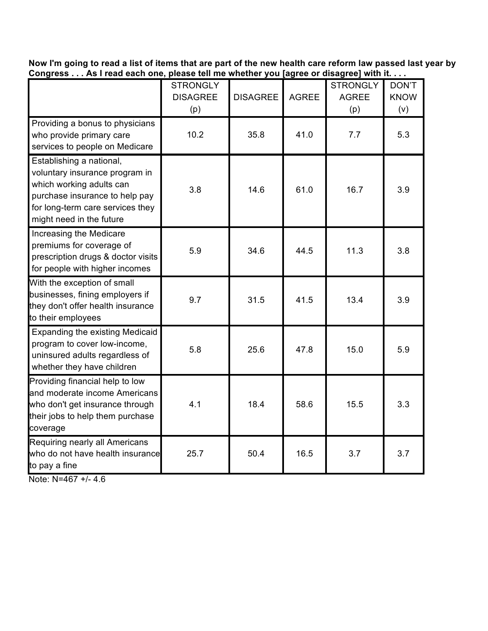Now I'm going to read a list of items that are part of the new health care reform law passed last year by Congress . . . As I read each one, please tell me whether you [agree or disagree] with it. . . .

|                                                                                                                                                                                          | <b>STRONGLY</b><br><b>DISAGREE</b><br>(p) | <b>DISAGREE</b> | <b>AGREE</b> | <b>STRONGLY</b><br><b>AGREE</b><br>(p) | DON'T<br><b>KNOW</b><br>(v) |
|------------------------------------------------------------------------------------------------------------------------------------------------------------------------------------------|-------------------------------------------|-----------------|--------------|----------------------------------------|-----------------------------|
| Providing a bonus to physicians<br>who provide primary care<br>services to people on Medicare                                                                                            | 10.2                                      | 35.8            | 41.0         | 7.7                                    | 5.3                         |
| Establishing a national,<br>voluntary insurance program in<br>which working adults can<br>purchase insurance to help pay<br>for long-term care services they<br>might need in the future | 3.8                                       | 14.6            | 61.0         | 16.7                                   | 3.9                         |
| Increasing the Medicare<br>premiums for coverage of<br>prescription drugs & doctor visits<br>for people with higher incomes                                                              | 5.9                                       | 34.6            | 44.5         | 11.3                                   | 3.8                         |
| With the exception of small<br>businesses, fining employers if<br>they don't offer health insurance<br>to their employees                                                                | 9.7                                       | 31.5            | 41.5         | 13.4                                   | 3.9                         |
| Expanding the existing Medicaid<br>program to cover low-income,<br>uninsured adults regardless of<br>whether they have children                                                          | 5.8                                       | 25.6            | 47.8         | 15.0                                   | 5.9                         |
| Providing financial help to low<br>and moderate income Americans<br>who don't get insurance through<br>their jobs to help them purchase<br>coverage                                      | 4.1                                       | 18.4            | 58.6         | 15.5                                   | 3.3                         |
| Requiring nearly all Americans<br>who do not have health insurance<br>to pay a fine                                                                                                      | 25.7                                      | 50.4            | 16.5         | 3.7                                    | 3.7                         |

Note: N=467 +/- 4.6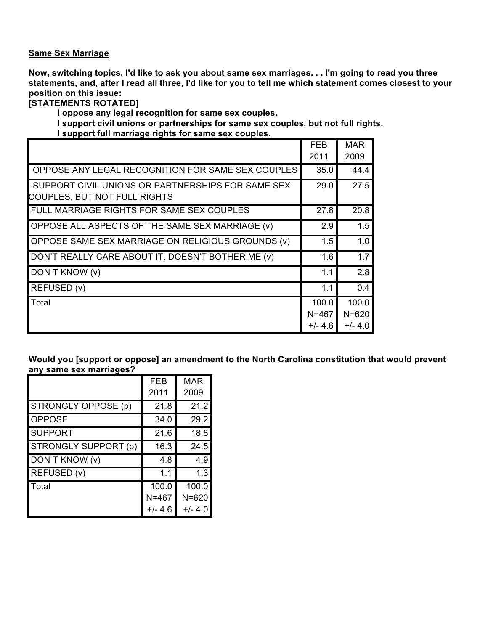### **Same Sex Marriage**

Now, switching topics, I'd like to ask you about same sex marriages. . . I'm going to read you three statements, and, after I read all three, I'd like for you to tell me which statement comes closest to your **position on this issue:**

## **[STATEMENTS ROTATED]**

**I oppose any legal recognition for same sex couples.**

**I support civil unions or partnerships for same sex couples, but not full rights. I support full marriage rights for same sex couples.**

|                                                                                          | <b>FEB</b><br>2011 | <b>MAR</b> |
|------------------------------------------------------------------------------------------|--------------------|------------|
|                                                                                          |                    | 2009       |
| OPPOSE ANY LEGAL RECOGNITION FOR SAME SEX COUPLES                                        | 35.0               | 44.4       |
| SUPPORT CIVIL UNIONS OR PARTNERSHIPS FOR SAME SEX<br><b>COUPLES, BUT NOT FULL RIGHTS</b> | 29.0               | 27.5       |
| FULL MARRIAGE RIGHTS FOR SAME SEX COUPLES                                                | 27.8               | 20.8       |
| OPPOSE ALL ASPECTS OF THE SAME SEX MARRIAGE (v)                                          | 2.9                | 1.5        |
| OPPOSE SAME SEX MARRIAGE ON RELIGIOUS GROUNDS (v)                                        | 1.5                | 1.0        |
| DON'T REALLY CARE ABOUT IT, DOESN'T BOTHER ME (v)                                        | 1.6                | 1.7        |
| DON T KNOW (v)                                                                           | 1.1                | 2.8        |
| REFUSED (v)                                                                              | 1.1                | 0.4        |
| Total                                                                                    | 100.0              | 100.0      |
|                                                                                          | $N = 467$          | $N = 620$  |
|                                                                                          | +/- 4.6            | $+/- 4.0$  |

**Would you [support or oppose] an amendment to the North Carolina constitution that would prevent any same sex marriages?**

|                             | FEB       | MAR       |
|-----------------------------|-----------|-----------|
|                             | 2011      | 2009      |
| STRONGLY OPPOSE (p)         | 21.8      | 21.2      |
| <b>OPPOSE</b>               | 34.0      | 29.2      |
| <b>SUPPORT</b>              | 21.6      | 18.8      |
| <b>STRONGLY SUPPORT (p)</b> | 16.3      | 24.5      |
| DON T KNOW (v)              | 4.8       | 4.9       |
| REFUSED (v)                 | 1.1       | 1.3       |
| Total                       | 100.0     | 100.0     |
|                             | $N = 467$ | $N = 620$ |
|                             | $+/- 4.6$ | $+/- 4.0$ |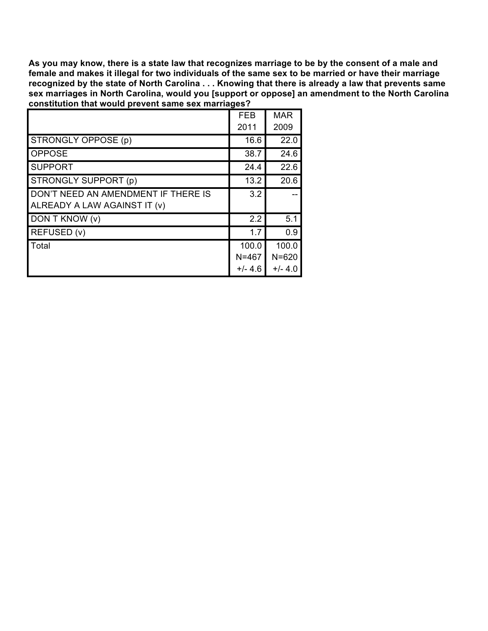As you may know, there is a state law that recognizes marriage to be by the consent of a male and female and makes it illegal for two individuals of the same sex to be married or have their marriage recognized by the state of North Carolina . . . Knowing that there is already a law that prevents same **sex marriages in North Carolina, would you [support or oppose] an amendment to the North Carolina constitution that would prevent same sex marriages?**

|                                                                     | <b>FEB</b><br>2011              | <b>MAR</b><br>2009              |
|---------------------------------------------------------------------|---------------------------------|---------------------------------|
| STRONGLY OPPOSE (p)                                                 | 16.6                            | 22.0                            |
| <b>OPPOSE</b>                                                       | 38.7                            | 24.6                            |
| <b>SUPPORT</b>                                                      | 24.4                            | 22.6                            |
| STRONGLY SUPPORT (p)                                                | 13.2                            | 20.6                            |
| DON'T NEED AN AMENDMENT IF THERE IS<br>ALREADY A LAW AGAINST IT (v) | 3.2                             |                                 |
| DON T KNOW (v)                                                      | 2.2                             | 5.1                             |
| REFUSED (v)                                                         | 1.7                             | 0.9                             |
| Total                                                               | 100.0<br>$N = 467$<br>$+/- 4.6$ | 100.0<br>$N = 620$<br>$+/- 4.0$ |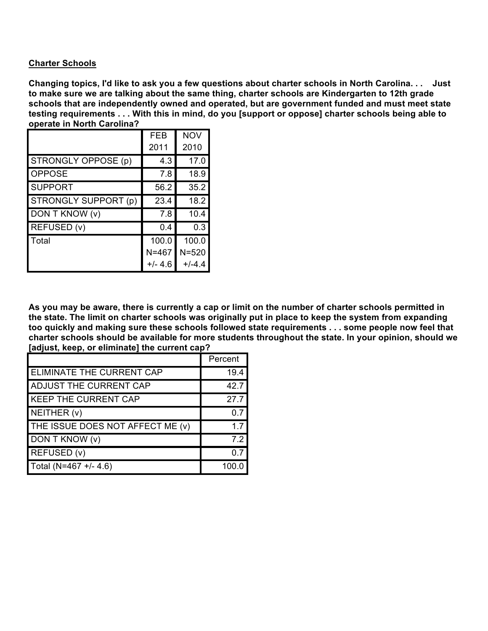## **Charter Schools**

Changing topics, I'd like to ask you a few questions about charter schools in North Carolina... Just **to make sure we are talking about the same thing, charter schools are Kindergarten to 12th grade schools that are independently owned and operated, but are government funded and must meet state** testing requirements . . . With this in mind, do you [support or oppose] charter schools being able to **operate in North Carolina?**

|                      | <b>FEB</b> | <b>NOV</b> |
|----------------------|------------|------------|
|                      | 2011       | 2010       |
| STRONGLY OPPOSE (p)  | 4.3        | 17.0       |
| <b>OPPOSE</b>        | 7.8        | 18.9       |
| <b>SUPPORT</b>       | 56.2       | 35.2       |
| STRONGLY SUPPORT (p) | 23.4       | 18.2       |
| DON T KNOW (v)       | 7.8        | 10.4       |
| REFUSED (v)          | 0.4        | 0.3        |
| Total                | 100.0      | 100.0      |
|                      | $N = 467$  | $N = 520$  |
|                      | $+/- 4.6$  | $+/-4.4$   |

As you may be aware, there is currently a cap or limit on the number of charter schools permitted in the state. The limit on charter schools was originally put in place to keep the system from expanding too quickly and making sure these schools followed state requirements . . . some people now feel that **charter schools should be available for more students throughout the state. In your opinion, should we [adjust, keep, or eliminate] the current cap?**

|                                  | Percent |
|----------------------------------|---------|
| ELIMINATE THE CURRENT CAP        | 19.4    |
| ADJUST THE CURRENT CAP           | 42.7    |
| <b>KEEP THE CURRENT CAP</b>      | 27.7    |
| NEITHER (v)                      | ი 7     |
| THE ISSUE DOES NOT AFFECT ME (v) | 17      |
| DON T KNOW (v)                   | 7.2     |
| REFUSED (v)                      | ი 7     |
| Total (N=467 +/- 4.6)            |         |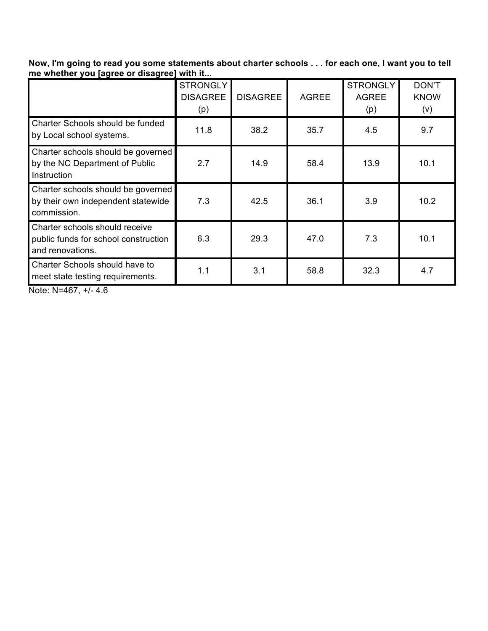Now, I'm going to read you some statements about charter schools . . . for each one, I want you to tell **me whether you [agree or disagree] with it...**

|                                                                                            | <b>STRONGLY</b><br><b>DISAGREE</b><br>(p) | <b>DISAGREE</b> | <b>AGREE</b> | <b>STRONGLY</b><br><b>AGREE</b><br>(p) | DON'T<br><b>KNOW</b><br>(v) |
|--------------------------------------------------------------------------------------------|-------------------------------------------|-----------------|--------------|----------------------------------------|-----------------------------|
| Charter Schools should be funded<br>by Local school systems.                               | 11.8                                      | 38.2            | 35.7         | 4.5                                    | 9.7                         |
| Charter schools should be governed<br>by the NC Department of Public<br>Instruction        | 2.7                                       | 14.9            | 58.4         | 13.9                                   | 10.1                        |
| Charter schools should be governed<br>by their own independent statewide<br>commission.    | 7.3                                       | 42.5            | 36.1         | 3.9                                    | 10.2                        |
| Charter schools should receive<br>public funds for school construction<br>and renovations. | 6.3                                       | 29.3            | 47.0         | 7.3                                    | 10.1                        |
| Charter Schools should have to<br>meet state testing requirements.                         | 1.1                                       | 3.1             | 58.8         | 32.3                                   | 4.7                         |

Note: N=467, +/- 4.6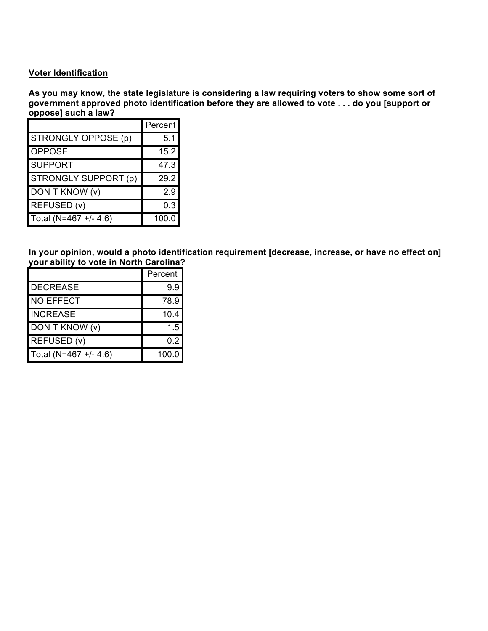#### **Voter Identification**

**As you may know, the state legislature is considering a law requiring voters to show some sort of government approved photo identification before they are allowed to vote . . . do you [support or oppose] such a law?**

|                       | Percent |
|-----------------------|---------|
| STRONGLY OPPOSE (p)   | 5.1     |
| <b>OPPOSE</b>         | 15.2    |
| <b>SUPPORT</b>        | 47.3    |
| STRONGLY SUPPORT (p)  | 29.2    |
| DON T KNOW (v)        | 2.9     |
| REFUSED (v)           | 0.3     |
| Total (N=467 +/- 4.6) | 100.0   |

**In your opinion, would a photo identification requirement [decrease, increase, or have no effect on] your ability to vote in North Carolina?**

|                       | Percent |
|-----------------------|---------|
| <b>DECREASE</b>       | 9.9     |
| <b>NO EFFECT</b>      | 78.9    |
| <b>INCREASE</b>       | 10.4    |
| DON T KNOW (v)        | 1.5     |
| REFUSED (v)           | 0.2     |
| Total (N=467 +/- 4.6) | 100.0   |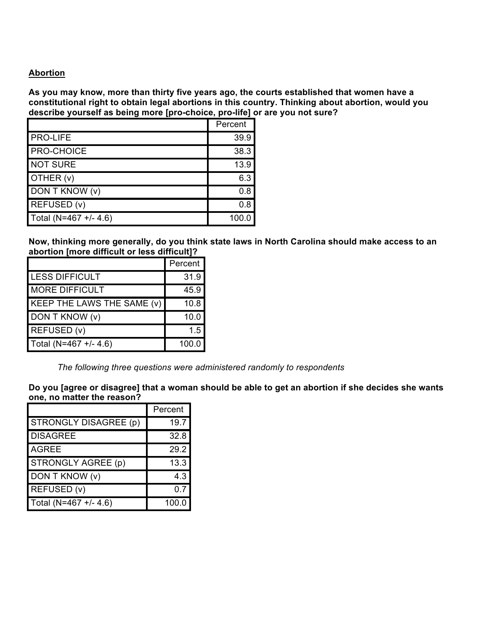## **Abortion**

**As you may know, more than thirty five years ago, the courts established that women have a constitutional right to obtain legal abortions in this country. Thinking about abortion, would you describe yourself as being more [pro-choice, pro-life] or are you not sure?**

|                       | Percent |
|-----------------------|---------|
| <b>PRO-LIFE</b>       | 39.9    |
| <b>PRO-CHOICE</b>     | 38.3    |
| <b>NOT SURE</b>       | 13.9    |
| OTHER (v)             | 6.3     |
| DON T KNOW (v)        | 0.8     |
| REFUSED (v)           | 0.8     |
| Total (N=467 +/- 4.6) | 100.0   |

**Now, thinking more generally, do you think state laws in North Carolina should make access to an abortion [more difficult or less difficult]?**

|                            | Percent |
|----------------------------|---------|
| <b>LESS DIFFICULT</b>      | 31.9    |
| <b>MORE DIFFICULT</b>      | 45.9    |
| KEEP THE LAWS THE SAME (v) | 10.8    |
| DON T KNOW (v)             | 10.0    |
| REFUSED (v)                | 1.5     |
| Total (N=467 +/- 4.6)      | 100.0   |

*The following three questions were administered randomly to respondents*

Do you [agree or disagree] that a woman should be able to get an abortion if she decides she wants **one, no matter the reason?**

|                       | Percent |
|-----------------------|---------|
| STRONGLY DISAGREE (p) | 19.7    |
| <b>DISAGREE</b>       | 32.8    |
| <b>AGREE</b>          | 29.2    |
| STRONGLY AGREE (p)    | 13.3    |
| DON T KNOW (v)        | 4.3     |
| REFUSED (v)           | 0.7     |
| Total (N=467 +/- 4.6) | 100.0   |